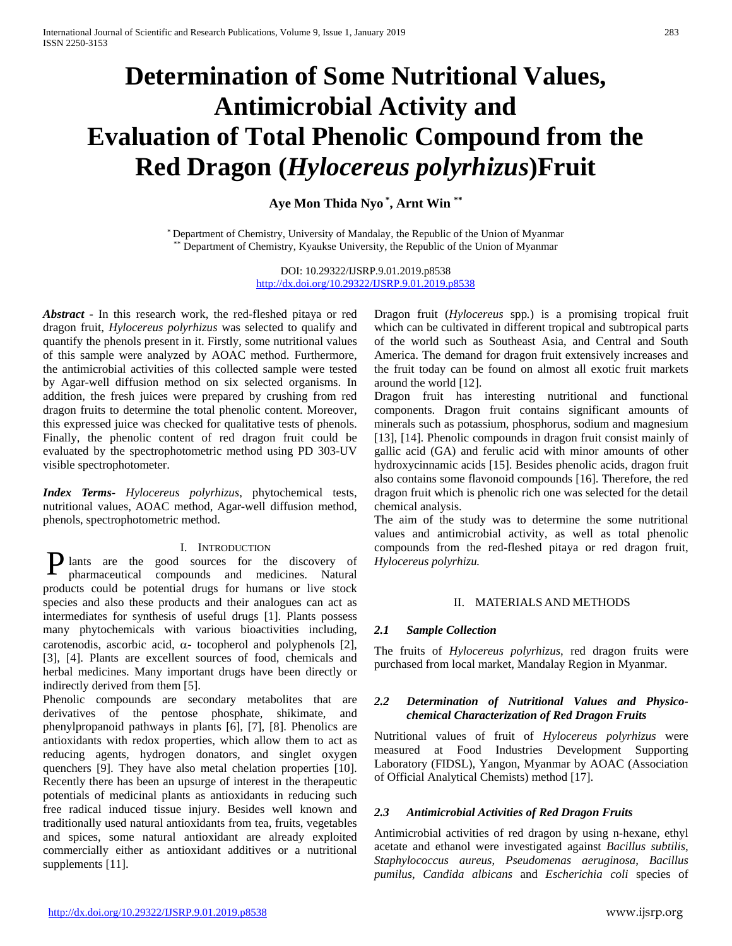# **Determination of Some Nutritional Values, Antimicrobial Activity and Evaluation of Total Phenolic Compound from the Red Dragon (***Hylocereus polyrhizus***)Fruit**

**Aye Mon Thida Nyo \* , Arnt Win \*\***

\* Department of Chemistry, University of Mandalay, the Republic of the Union of Myanmar \*\* Department of Chemistry, Kyaukse University, the Republic of the Union of Myanmar

> DOI: 10.29322/IJSRP.9.01.2019.p8538 <http://dx.doi.org/10.29322/IJSRP.9.01.2019.p8538>

*Abstract* **-** In this research work, the red-fleshed pitaya or red dragon fruit, *Hylocereus polyrhizus* was selected to qualify and quantify the phenols present in it. Firstly, some nutritional values of this sample were analyzed by AOAC method. Furthermore, the antimicrobial activities of this collected sample were tested by Agar-well diffusion method on six selected organisms. In addition, the fresh juices were prepared by crushing from red dragon fruits to determine the total phenolic content. Moreover, this expressed juice was checked for qualitative tests of phenols. Finally, the phenolic content of red dragon fruit could be evaluated by the spectrophotometric method using PD 303-UV visible spectrophotometer.

*Index Terms*- *Hylocereus polyrhizus*, phytochemical tests, nutritional values, AOAC method, Agar-well diffusion method, phenols, spectrophotometric method.

#### I. INTRODUCTION

**P** lants are the good sources for the discovery of pharmaceutical compounds and medicines. Natural pharmaceutical compounds and medicines. Natural products could be potential drugs for humans or live stock species and also these products and their analogues can act as intermediates for synthesis of useful drugs [1]. Plants possess many phytochemicals with various bioactivities including, carotenodis, ascorbic acid,  $\alpha$ - tocopherol and polyphenols [2], [3], [4]. Plants are excellent sources of food, chemicals and herbal medicines. Many important drugs have been directly or indirectly derived from them [5].

Phenolic compounds are secondary metabolites that are derivatives of the pentose phosphate, shikimate, and phenylpropanoid pathways in plants [6], [7], [8]. Phenolics are antioxidants with redox properties, which allow them to act as reducing agents, hydrogen donators, and singlet oxygen quenchers [9]. They have also metal chelation properties [10]. Recently there has been an upsurge of interest in the therapeutic potentials of medicinal plants as antioxidants in reducing such free radical induced tissue injury. Besides well known and traditionally used natural antioxidants from tea, fruits, vegetables and spices, some natural antioxidant are already exploited commercially either as antioxidant additives or a nutritional supplements [11].

Dragon fruit (*Hylocereus* spp*.*) is a promising tropical fruit which can be cultivated in different tropical and subtropical parts of the world such as Southeast Asia, and Central and South America. The demand for dragon fruit extensively increases and the fruit today can be found on almost all exotic fruit markets around the world [12].

Dragon fruit has interesting nutritional and functional components. Dragon fruit contains significant amounts of minerals such as potassium, phosphorus, sodium and magnesium [13], [14]. Phenolic compounds in dragon fruit consist mainly of gallic acid (GA) and ferulic acid with minor amounts of other hydroxycinnamic acids [15]. Besides phenolic acids, dragon fruit also contains some flavonoid compounds [16]. Therefore, the red dragon fruit which is phenolic rich one was selected for the detail chemical analysis.

The aim of the study was to determine the some nutritional values and antimicrobial activity, as well as total phenolic compounds from the red-fleshed pitaya or red dragon fruit, *Hylocereus polyrhizu.*

#### II. MATERIALS AND METHODS

#### *2.1 Sample Collection*

The fruits of *Hylocereus polyrhizus*, red dragon fruits were purchased from local market, Mandalay Region in Myanmar.

#### *2.2 Determination of Nutritional Values and Physicochemical Characterization of Red Dragon Fruits*

Nutritional values of fruit of *Hylocereus polyrhizus* were measured at Food Industries Development Supporting Laboratory (FIDSL), Yangon, Myanmar by AOAC (Association of Official Analytical Chemists) method [17].

#### *2.3 Antimicrobial Activities of Red Dragon Fruits*

Antimicrobial activities of red dragon by using n-hexane, ethyl acetate and ethanol were investigated against *Bacillus subtilis*, *Staphylococcus aureus*, *Pseudomenas aeruginosa*, *Bacillus pumilus*, *Candida albicans* and *Escherichia coli* species of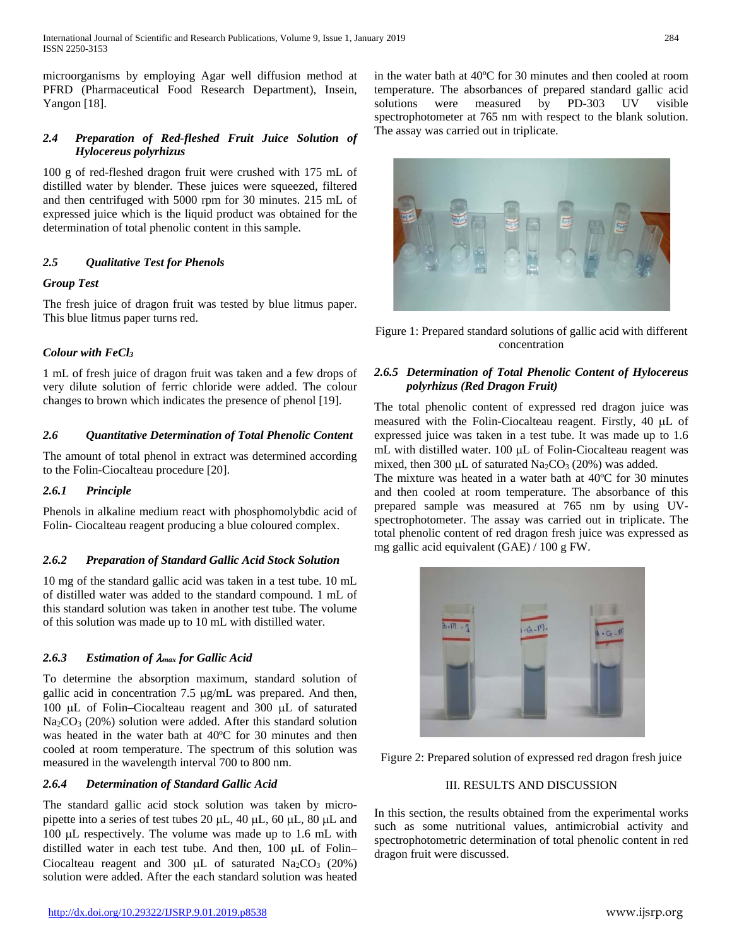microorganisms by employing Agar well diffusion method at PFRD (Pharmaceutical Food Research Department), Insein, Yangon [18].

## *2.4 Preparation of Red-fleshed Fruit Juice Solution of Hylocereus polyrhizus*

100 g of red-fleshed dragon fruit were crushed with 175 mL of distilled water by blender. These juices were squeezed, filtered and then centrifuged with 5000 rpm for 30 minutes. 215 mL of expressed juice which is the liquid product was obtained for the determination of total phenolic content in this sample.

# *2.5 Qualitative Test for Phenols*

## *Group Test*

The fresh juice of dragon fruit was tested by blue litmus paper. This blue litmus paper turns red.

# *Colour with FeCl3*

1 mL of fresh juice of dragon fruit was taken and a few drops of very dilute solution of ferric chloride were added. The colour changes to brown which indicates the presence of phenol [19].

## *2.6 Quantitative Determination of Total Phenolic Content*

The amount of total phenol in extract was determined according to the Folin-Ciocalteau procedure [20].

## *2.6.1 Principle*

Phenols in alkaline medium react with phosphomolybdic acid of Folin- Ciocalteau reagent producing a blue coloured complex.

## *2.6.2 Preparation of Standard Gallic Acid Stock Solution*

10 mg of the standard gallic acid was taken in a test tube. 10 mL of distilled water was added to the standard compound. 1 mL of this standard solution was taken in another test tube. The volume of this solution was made up to 10 mL with distilled water.

# *2.6.3 Estimation of* λ*max for Gallic Acid*

To determine the absorption maximum, standard solution of gallic acid in concentration 7.5 µg/mL was prepared. And then, 100 µL of Folin–Ciocalteau reagent and 300 µL of saturated  $Na<sub>2</sub>CO<sub>3</sub>$  (20%) solution were added. After this standard solution was heated in the water bath at 40ºC for 30 minutes and then cooled at room temperature. The spectrum of this solution was measured in the wavelength interval 700 to 800 nm.

# *2.6.4 Determination of Standard Gallic Acid*

The standard gallic acid stock solution was taken by micropipette into a series of test tubes 20 µL, 40 µL, 60 µL, 80 µL and 100 µL respectively. The volume was made up to 1.6 mL with distilled water in each test tube. And then, 100 µL of Folin– Ciocalteau reagent and 300 µL of saturated  $Na<sub>2</sub>CO<sub>3</sub>$  (20%) solution were added. After the each standard solution was heated

in the water bath at 40ºC for 30 minutes and then cooled at room temperature. The absorbances of prepared standard gallic acid solutions were measured by PD-303 UV visible spectrophotometer at 765 nm with respect to the blank solution. The assay was carried out in triplicate.



Figure 1: Prepared standard solutions of gallic acid with different concentration

## *2.6.5 Determination of Total Phenolic Content of Hylocereus polyrhizus (Red Dragon Fruit)*

The total phenolic content of expressed red dragon juice was measured with the Folin-Ciocalteau reagent. Firstly, 40 µL of expressed juice was taken in a test tube. It was made up to 1.6 mL with distilled water. 100 μL of Folin-Ciocalteau reagent was mixed, then 300  $\mu$ L of saturated Na<sub>2</sub>CO<sub>3</sub> (20%) was added.

The mixture was heated in a water bath at 40ºC for 30 minutes and then cooled at room temperature. The absorbance of this prepared sample was measured at 765 nm by using UVspectrophotometer. The assay was carried out in triplicate. The total phenolic content of red dragon fresh juice was expressed as mg gallic acid equivalent (GAE) / 100 g FW.



Figure 2: Prepared solution of expressed red dragon fresh juice

## III. RESULTS AND DISCUSSION

In this section, the results obtained from the experimental works such as some nutritional values, antimicrobial activity and spectrophotometric determination of total phenolic content in red dragon fruit were discussed.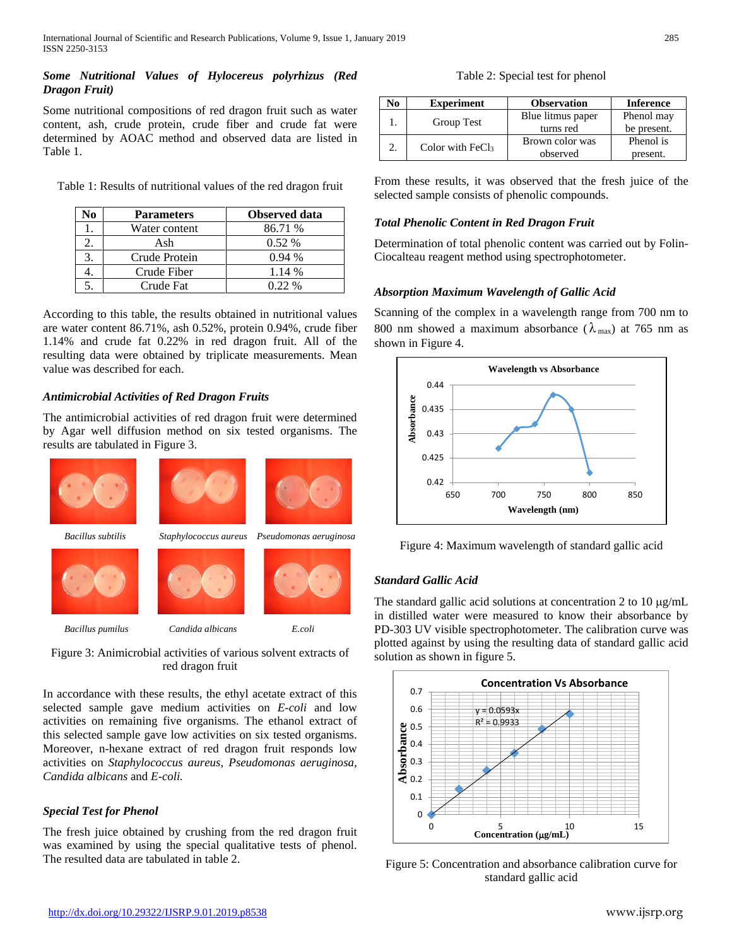## *Some Nutritional Values of Hylocereus polyrhizus (Red Dragon Fruit)*

Some nutritional compositions of red dragon fruit such as water content, ash, crude protein, crude fiber and crude fat were determined by AOAC method and observed data are listed in Table 1.

Table 1: Results of nutritional values of the red dragon fruit

| VО | <b>Parameters</b> | Observed data |
|----|-------------------|---------------|
|    | Water content     | 86.71 %       |
|    | Ash               | $0.52\%$      |
|    | Crude Protein     | 0.94%         |
|    | Crude Fiber       | 1.14 %        |
|    | Crude Fat         | $0.22\%$      |

According to this table, the results obtained in nutritional values are water content 86.71%, ash 0.52%, protein 0.94%, crude fiber 1.14% and crude fat 0.22% in red dragon fruit. All of the resulting data were obtained by triplicate measurements. Mean value was described for each.

# *Antimicrobial Activities of Red Dragon Fruits*

The antimicrobial activities of red dragon fruit were determined by Agar well diffusion method on six tested organisms. The results are tabulated in Figure 3.



Figure 3: Animicrobial activities of various solvent extracts of red dragon fruit

In accordance with these results, the ethyl acetate extract of this selected sample gave medium activities on *E-coli* and low activities on remaining five organisms. The ethanol extract of this selected sample gave low activities on six tested organisms. Moreover, n-hexane extract of red dragon fruit responds low activities on *Staphylococcus aureus, Pseudomonas aeruginosa, Candida albicans* and *E-coli.*

# *Special Test for Phenol*

The fresh juice obtained by crushing from the red dragon fruit was examined by using the special qualitative tests of phenol. The resulted data are tabulated in table 2.

Table 2: Special test for phenol

| No | <b>Experiment</b>  | <b>Observation</b> | <b>Inference</b> |
|----|--------------------|--------------------|------------------|
|    | Group Test         | Blue litmus paper  | Phenol may       |
|    |                    | turns red          | be present.      |
|    | Color with $FeCl3$ | Brown color was    | Phenol is        |
|    |                    | observed           | present.         |

From these results, it was observed that the fresh juice of the selected sample consists of phenolic compounds.

# *Total Phenolic Content in Red Dragon Fruit*

Determination of total phenolic content was carried out by Folin-Ciocalteau reagent method using spectrophotometer.

# *Absorption Maximum Wavelength of Gallic Acid*

Scanning of the complex in a wavelength range from 700 nm to 800 nm showed a maximum absorbance ( $\lambda_{\text{max}}$ ) at 765 nm as shown in Figure 4.



Figure 4: Maximum wavelength of standard gallic acid

# *Standard Gallic Acid*

The standard gallic acid solutions at concentration 2 to 10 µg/mL in distilled water were measured to know their absorbance by PD-303 UV visible spectrophotometer. The calibration curve was plotted against by using the resulting data of standard gallic acid solution as shown in figure 5.



Figure 5: Concentration and absorbance calibration curve for standard gallic acid